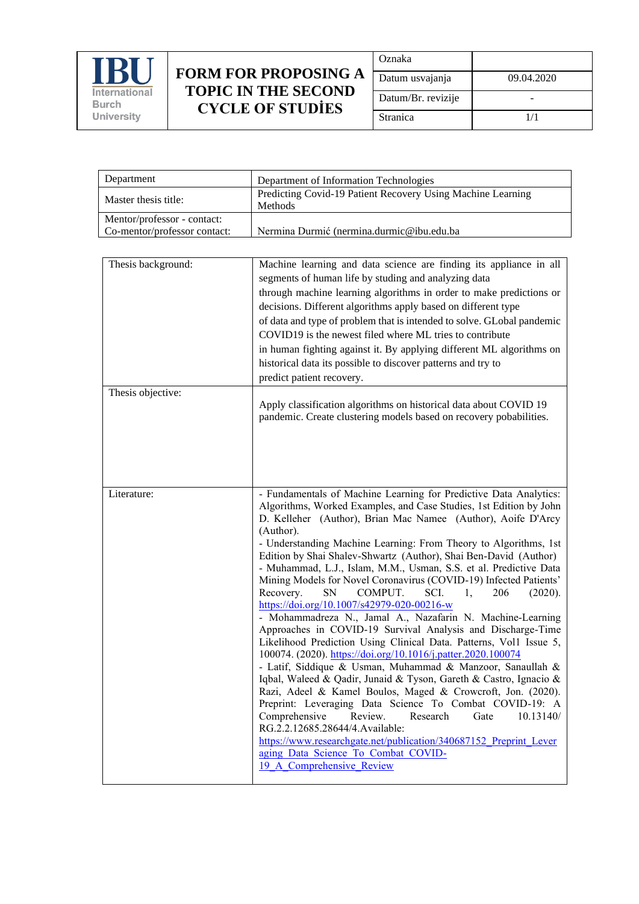

## **FORM FOR PROPOSING A TOPIC IN THE SECOND CYCLE OF STUDİES**

| Oznaka             |            |
|--------------------|------------|
| Datum usvajanja    | 09.04.2020 |
| Datum/Br. revizije |            |
| Stranica           | 1/1        |

| Department                                                  | Department of Information Technologies                                                                                                                                                                                                                                                                                                                                                                                                                                                                                                                                                                                                                                                                                                                                                                                                                                                                                                                                                                                                                                                                                                                                                                                                                                                                                                                                                      |
|-------------------------------------------------------------|---------------------------------------------------------------------------------------------------------------------------------------------------------------------------------------------------------------------------------------------------------------------------------------------------------------------------------------------------------------------------------------------------------------------------------------------------------------------------------------------------------------------------------------------------------------------------------------------------------------------------------------------------------------------------------------------------------------------------------------------------------------------------------------------------------------------------------------------------------------------------------------------------------------------------------------------------------------------------------------------------------------------------------------------------------------------------------------------------------------------------------------------------------------------------------------------------------------------------------------------------------------------------------------------------------------------------------------------------------------------------------------------|
| Master thesis title:                                        | Predicting Covid-19 Patient Recovery Using Machine Learning<br>Methods                                                                                                                                                                                                                                                                                                                                                                                                                                                                                                                                                                                                                                                                                                                                                                                                                                                                                                                                                                                                                                                                                                                                                                                                                                                                                                                      |
| Mentor/professor - contact:<br>Co-mentor/professor contact: | Nermina Durmić (nermina.durmic@ibu.edu.ba                                                                                                                                                                                                                                                                                                                                                                                                                                                                                                                                                                                                                                                                                                                                                                                                                                                                                                                                                                                                                                                                                                                                                                                                                                                                                                                                                   |
|                                                             |                                                                                                                                                                                                                                                                                                                                                                                                                                                                                                                                                                                                                                                                                                                                                                                                                                                                                                                                                                                                                                                                                                                                                                                                                                                                                                                                                                                             |
| Thesis background:                                          | Machine learning and data science are finding its appliance in all<br>segments of human life by studing and analyzing data<br>through machine learning algorithms in order to make predictions or<br>decisions. Different algorithms apply based on different type<br>of data and type of problem that is intended to solve. GLobal pandemic<br>COVID19 is the newest filed where ML tries to contribute<br>in human fighting against it. By applying different ML algorithms on<br>historical data its possible to discover patterns and try to<br>predict patient recovery.                                                                                                                                                                                                                                                                                                                                                                                                                                                                                                                                                                                                                                                                                                                                                                                                               |
| Thesis objective:                                           | Apply classification algorithms on historical data about COVID 19<br>pandemic. Create clustering models based on recovery pobabilities.                                                                                                                                                                                                                                                                                                                                                                                                                                                                                                                                                                                                                                                                                                                                                                                                                                                                                                                                                                                                                                                                                                                                                                                                                                                     |
| Literature:                                                 | - Fundamentals of Machine Learning for Predictive Data Analytics:<br>Algorithms, Worked Examples, and Case Studies, 1st Edition by John<br>D. Kelleher (Author), Brian Mac Namee (Author), Aoife D'Arcy<br>(Author).<br>- Understanding Machine Learning: From Theory to Algorithms, 1st<br>Edition by Shai Shalev-Shwartz (Author), Shai Ben-David (Author)<br>- Muhammad, L.J., Islam, M.M., Usman, S.S. et al. Predictive Data<br>Mining Models for Novel Coronavirus (COVID-19) Infected Patients'<br>Recovery.<br>SN<br>COMPUT.<br>SCI.<br>206<br>(2020).<br>1.<br>https://doi.org/10.1007/s42979-020-00216-w<br>- Mohammadreza N., Jamal A., Nazafarin N. Machine-Learning<br>Approaches in COVID-19 Survival Analysis and Discharge-Time<br>Likelihood Prediction Using Clinical Data. Patterns, Vol1 Issue 5,<br>100074. (2020). https://doi.org/10.1016/j.patter.2020.100074<br>- Latif, Siddique & Usman, Muhammad & Manzoor, Sanaullah &<br>Iqbal, Waleed & Qadir, Junaid & Tyson, Gareth & Castro, Ignacio &<br>Razi, Adeel & Kamel Boulos, Maged & Crowcroft, Jon. (2020).<br>Preprint: Leveraging Data Science To Combat COVID-19: A<br>Comprehensive<br>Review.<br>Research<br>10.13140/<br>Gate<br>RG.2.2.12685.28644/4.Available:<br>https://www.researchgate.net/publication/340687152 Preprint Lever<br>aging Data Science To Combat COVID-<br>19 A Comprehensive Review |